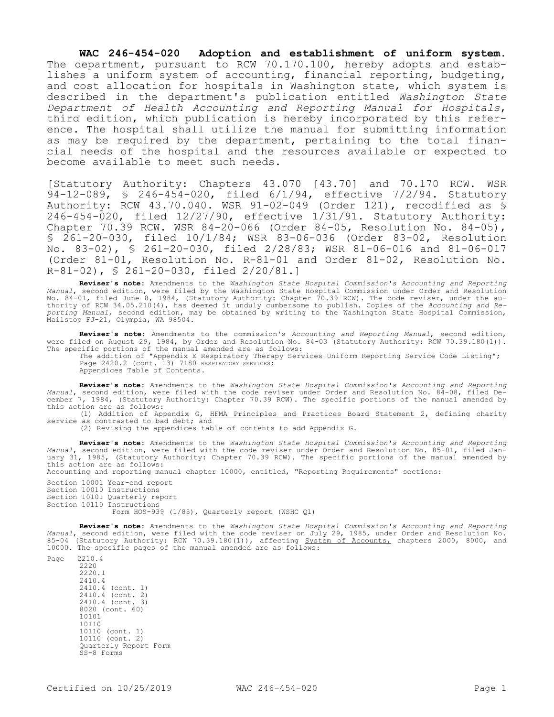**WAC 246-454-020 Adoption and establishment of uniform system.**  The department, pursuant to RCW 70.170.100, hereby adopts and establishes a uniform system of accounting, financial reporting, budgeting, and cost allocation for hospitals in Washington state, which system is described in the department's publication entitled *Washington State Department of Health Accounting and Reporting Manual for Hospitals*, third edition, which publication is hereby incorporated by this reference. The hospital shall utilize the manual for submitting information as may be required by the department, pertaining to the total financial needs of the hospital and the resources available or expected to become available to meet such needs.

[Statutory Authority: Chapters 43.070 [43.70] and 70.170 RCW. WSR 94-12-089, § 246-454-020, filed 6/1/94, effective 7/2/94. Statutory Authority: RCW 43.70.040. WSR 91-02-049 (Order 121), recodified as § 246-454-020, filed 12/27/90, effective 1/31/91. Statutory Authority: Chapter 70.39 RCW. WSR 84-20-066 (Order 84-05, Resolution No. 84-05), § 261-20-030, filed 10/1/84; WSR 83-06-036 (Order 83-02, Resolution No. 83-02), § 261-20-030, filed 2/28/83; WSR 81-06-016 and 81-06-017 (Order 81-01, Resolution No. R-81-01 and Order 81-02, Resolution No. R-81-02), § 261-20-030, filed 2/20/81.]

**Reviser's note:** Amendments to the *Washington State Hospital Commission's Accounting and Reporting Manual*, second edition, were filed by the Washington State Hospital Commission under Order and Resolution No. 84-01, filed June 8, 1984, (Statutory Authority: Chapter 70.39 RCW). The code reviser, under the authority of RCW 34.05.210(4), has deemed it unduly cumbersome to publish. Copies of the *Accounting and Reporting Manual*, second edition, may be obtained by writing to the Washington State Hospital Commission, Mailstop FJ-21, Olympia, WA 98504.

**Reviser's note:** Amendments to the commission's *Accounting and Reporting Manual*, second edition, were filed on August 29, 1984, by Order and Resolution No. 84-03 (Statutory Authority: RCW 70.39.180(1)). The specific portions of the manual amended are as follows:

The addition of "Appendix E Respiratory Therapy Services Uniform Reporting Service Code Listing"; Page 2420.2 (cont. 13) 7180 RESPIRATORY SERVICES;

Appendices Table of Contents.

**Reviser's note:** Amendments to the *Washington State Hospital Commission's Accounting and Reporting Manual*, second edition, were filed with the code reviser under Order and Resolution No. 84-08, filed December 7, 1984, (Statutory Authority: Chapter 70.39 RCW). The specific portions of the manual amended by this action are as follows:

(1) Addition of Appendix G, HFMA Principles and Practices Board Statement 2, defining charity service as contrasted to bad debt; and

(2) Revising the appendices table of contents to add Appendix G.

**Reviser's note:** Amendments to the *Washington State Hospital Commission's Accounting and Reporting Manual*, second edition, were filed with the code reviser under Order and Resolution No. 85-01, filed January 31, 1985, (Statutory Authority: Chapter 70.39 RCW). The specific portions of the manual amended by this action are as follows:

Accounting and reporting manual chapter 10000, entitled, "Reporting Requirements" sections:

Section 10001 Year-end report Section 10010 Instructions Section 10101 Quarterly report Section 10110 Instructions Form HOS-939 (1/85), Quarterly report (WSHC Q1)

**Reviser's note:** Amendments to the *Washington State Hospital Commission's Accounting and Reporting* 

*Manual*, second edition, were filed with the code reviser on July 29, 1985, under Order and Resolution No. 85-04 (Statutory Authority: RCW 70.39.180(1)), affecting System of Accounts, chapters 2000, 8000, and 10000. The specific pages of the manual amended are as follows:

Page 2210.4 2220 2220.1 2410.4 2410.4 (cont. 1) 2410.4 (cont. 2)<br>2410.4 (cont. 3)  $2410.4$  (cont. 8020 (cont. 60) 10101 10110 10110 (cont. 1) 10110 (cont. 2) Quarterly Report Form SS-8 Forms